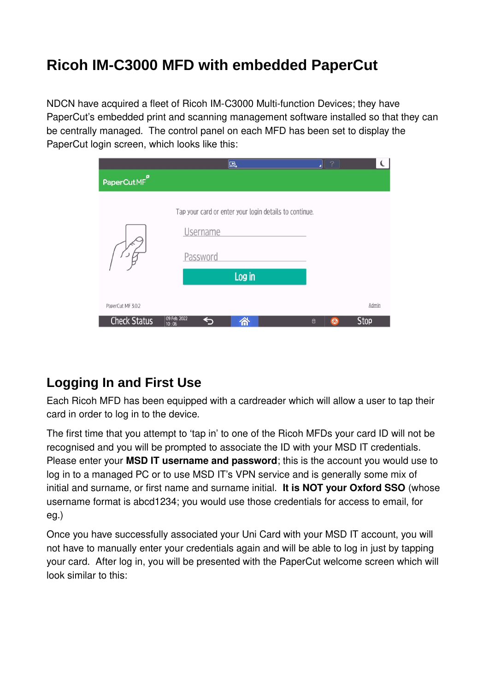# **Ricoh IM-C3000 MFD with embedded PaperCut**

NDCN have acquired a fleet of Ricoh IM-C3000 Multi-function Devices; they have PaperCut's embedded print and scanning management software installed so that they can be centrally managed. The control panel on each MFD has been set to display the PaperCut login screen, which looks like this:

|                         | 區                                                                                     | $\vert$ ?<br>◢ |             |
|-------------------------|---------------------------------------------------------------------------------------|----------------|-------------|
| PaperCutMF <sup>P</sup> |                                                                                       |                |             |
|                         | Tap your card or enter your login details to continue.<br><b>Username</b><br>Password |                |             |
|                         | Log in                                                                                |                |             |
| PaperCut MF 3.0.2       |                                                                                       |                | Admin       |
| <b>Check Status</b>     | 09 Feb. 2022<br>谷<br>$\Box$<br>10:06                                                  | $\Theta$       | <b>Stop</b> |

### **Logging In and First Use**

Each Ricoh MFD has been equipped with a cardreader which will allow a user to tap their card in order to log in to the device.

The first time that you attempt to 'tap in' to one of the Ricoh MFDs your card ID will not be recognised and you will be prompted to associate the ID with your MSD IT credentials. Please enter your **MSD IT username and password**; this is the account you would use to log in to a managed PC or to use MSD IT's VPN service and is generally some mix of initial and surname, or first name and surname initial. **It is NOT your Oxford SSO** (whose username format is abcd1234; you would use those credentials for access to email, for eg.)

Once you have successfully associated your Uni Card with your MSD IT account, you will not have to manually enter your credentials again and will be able to log in just by tapping your card. After log in, you will be presented with the PaperCut welcome screen which will look similar to this: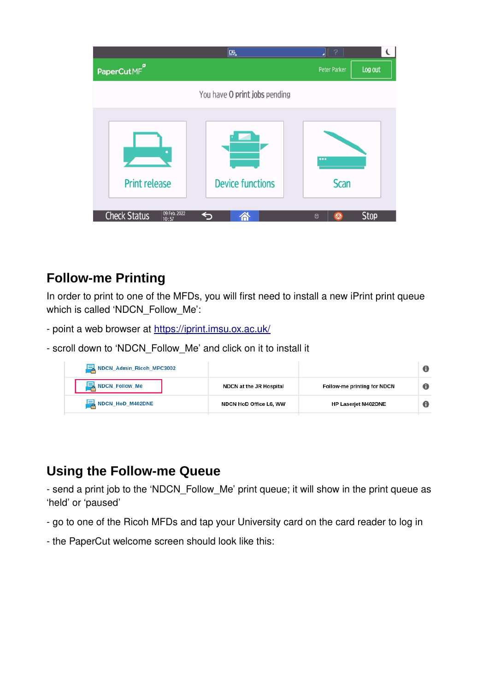|                                              | Ŀ.                            | ?               | $\mathbf \epsilon$ |
|----------------------------------------------|-------------------------------|-----------------|--------------------|
| PaperCutMF <sup>P</sup>                      |                               | Peter Parker    | Log out            |
|                                              | You have O print jobs pending |                 |                    |
| <b>Print release</b>                         | <b>Device functions</b>       | <br><b>Scan</b> |                    |
| 09 Feb. 2022<br><b>Check Status</b><br>10:57 | ↤<br>Â                        | $\Theta$<br>日   | <b>Stop</b>        |

### **Follow-me Printing**

In order to print to one of the MFDs, you will first need to install a new iPrint print queue which is called 'NDCN\_Follow\_Me':

- point a web browser at <https://iprint.imsu.ox.ac.uk/>
- scroll down to 'NDCN\_Follow\_Me' and click on it to install it

| NDCN_Admin_Ricoh_MPC3002 |                                |                             | O |
|--------------------------|--------------------------------|-----------------------------|---|
| NDCN_Follow_Me           | <b>NDCN</b> at the JR Hospital | Follow-me printing for NDCN | 0 |
| NDCN_HoD_M402DNE         | NDCN HoD Office L6, WW         | <b>HP Laserjet M402DNE</b>  | 0 |

## **Using the Follow-me Queue**

- send a print job to the 'NDCN\_Follow\_Me' print queue; it will show in the print queue as 'held' or 'paused'

- go to one of the Ricoh MFDs and tap your University card on the card reader to log in
- the PaperCut welcome screen should look like this: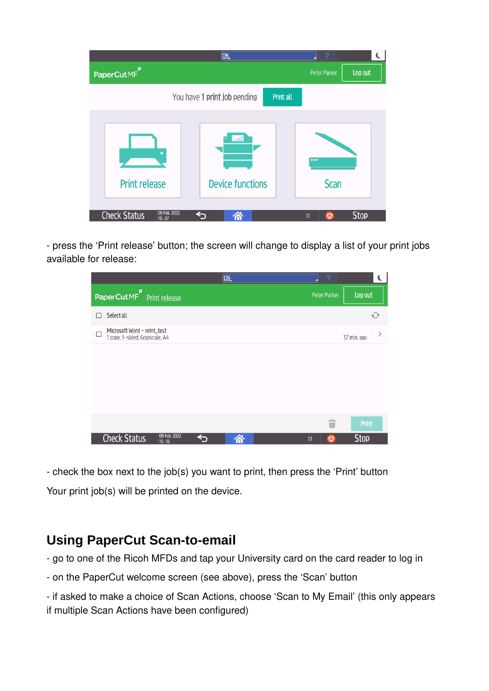

- press the 'Print release' button; the screen will change to display a list of your print jobs available for release:



- check the box next to the job(s) you want to print, then press the 'Print' button Your print job(s) will be printed on the device.

#### **Using PaperCut Scan-to-email**

- go to one of the Ricoh MFDs and tap your University card on the card reader to log in

- on the PaperCut welcome screen (see above), press the 'Scan' button

- if asked to make a choice of Scan Actions, choose 'Scan to My Email' (this only appears if multiple Scan Actions have been configured)